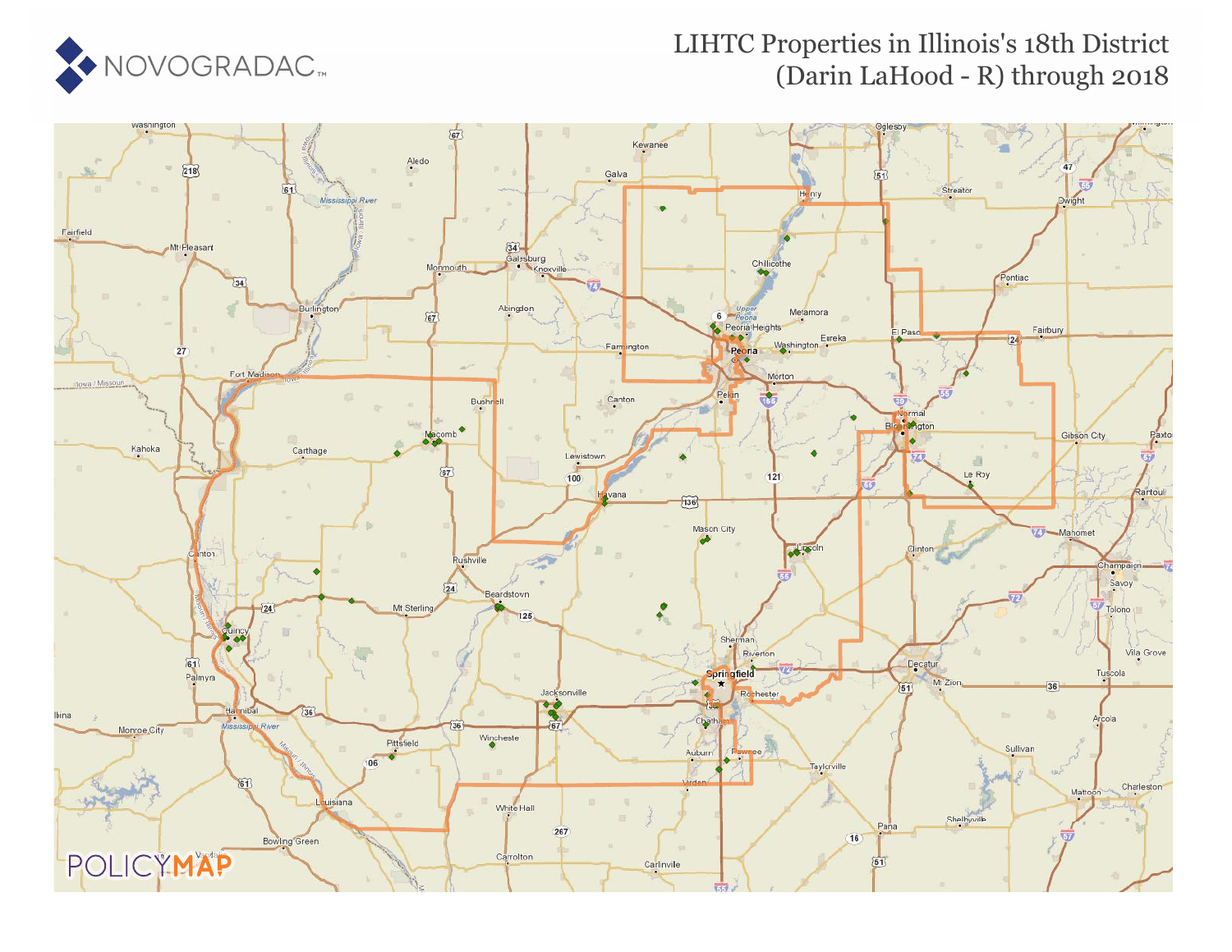

#### LIHTC Properties in Illinois's 18th District (Darin LaHood - R) through 2018

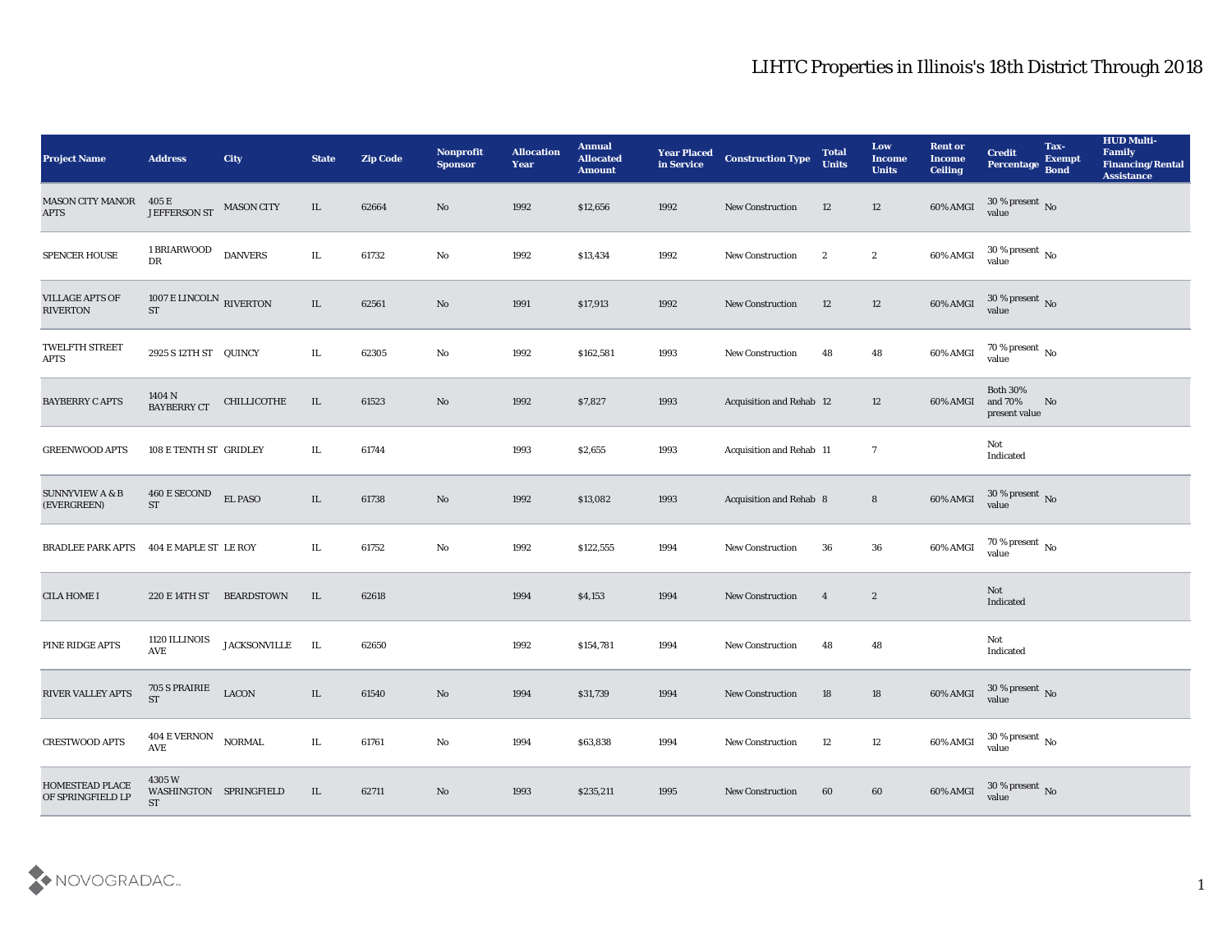| <b>Project Name</b>                       | <b>Address</b>                                | City                | <b>State</b> | <b>Zip Code</b> | <b>Nonprofit</b><br><b>Sponsor</b> | <b>Allocation</b><br><b>Year</b> | <b>Annual</b><br><b>Allocated</b><br><b>Amount</b> | <b>Year Placed</b><br>in Service | <b>Construction Type</b>       | <b>Total</b><br><b>Units</b> | Low<br><b>Income</b><br><b>Units</b> | <b>Rent or</b><br><b>Income</b><br><b>Ceiling</b> | <b>Credit</b><br>Percentage                 | Tax-<br><b>Exempt</b><br><b>Bond</b> | <b>HUD Multi-</b><br>Family<br><b>Financing/Rental</b><br><b>Assistance</b> |
|-------------------------------------------|-----------------------------------------------|---------------------|--------------|-----------------|------------------------------------|----------------------------------|----------------------------------------------------|----------------------------------|--------------------------------|------------------------------|--------------------------------------|---------------------------------------------------|---------------------------------------------|--------------------------------------|-----------------------------------------------------------------------------|
| <b>MASON CITY MANOR</b><br><b>APTS</b>    | 405 E<br>JEFFERSON ST MASON CITY              |                     | IL           | 62664           | No                                 | 1992                             | \$12,656                                           | 1992                             | New Construction               | 12                           | 12                                   | 60% AMGI                                          | $30\,\%$ present $\,$ No value              |                                      |                                                                             |
| SPENCER HOUSE                             | 1 BRIARWOOD<br>DR                             | <b>DANVERS</b>      | IL           | 61732           | No                                 | 1992                             | \$13,434                                           | 1992                             | <b>New Construction</b>        | $\mathbf{2}$                 | $\boldsymbol{2}$                     | 60% AMGI                                          | $30\,\%$ present $\,$ No value              |                                      |                                                                             |
| <b>VILLAGE APTS OF</b><br><b>RIVERTON</b> | 1007 E LINCOLN RIVERTON<br><b>ST</b>          |                     | IL           | 62561           | No                                 | 1991                             | \$17,913                                           | 1992                             | <b>New Construction</b>        | 12                           | 12                                   | $60\%$ AMGI                                       | $30\,\%$ present $\,$ No value              |                                      |                                                                             |
| TWELFTH STREET<br><b>APTS</b>             | 2925 S12TH ST QUINCY                          |                     | IL.          | 62305           | No                                 | 1992                             | \$162,581                                          | 1993                             | <b>New Construction</b>        | 48                           | 48                                   | 60% AMGI                                          | $70\,\%$ present $\,$ No value              |                                      |                                                                             |
| <b>BAYBERRY C APTS</b>                    | 1404 N<br><b>BAYBERRY CT</b>                  | CHILLICOTHE         | IL           | 61523           | No                                 | 1992                             | \$7,827                                            | 1993                             | Acquisition and Rehab 12       |                              | 12                                   | 60% AMGI                                          | <b>Both 30%</b><br>and 70%<br>present value | No                                   |                                                                             |
| <b>GREENWOOD APTS</b>                     | 108 E TENTH ST GRIDLEY                        |                     | IL           | 61744           |                                    | 1993                             | \$2,655                                            | 1993                             | Acquisition and Rehab 11       |                              | $\overline{7}$                       |                                                   | Not<br>Indicated                            |                                      |                                                                             |
| <b>SUNNYVIEW A &amp; B</b><br>(EVERGREEN) | 460 E SECOND<br><b>ST</b>                     | EL PASO             | IL           | 61738           | No                                 | 1992                             | \$13,082                                           | 1993                             | <b>Acquisition and Rehab 8</b> |                              | $\bf 8$                              | 60% AMGI                                          | $30\,\%$ present $\,$ No value              |                                      |                                                                             |
| <b>BRADLEE PARK APTS</b>                  | 404 E MAPLE ST LE ROY                         |                     | IL           | 61752           | No                                 | 1992                             | \$122,555                                          | 1994                             | <b>New Construction</b>        | 36                           | 36                                   | 60% AMGI                                          | $70\,\%$ present $\,$ No value              |                                      |                                                                             |
| <b>CILA HOME I</b>                        | 220 E 14TH ST BEARDSTOWN                      |                     | IL           | 62618           |                                    | 1994                             | \$4,153                                            | 1994                             | New Construction               | $\overline{4}$               | $\boldsymbol{2}$                     |                                                   | Not<br>Indicated                            |                                      |                                                                             |
| PINE RIDGE APTS                           | 1120 ILLINOIS<br>AVE                          | <b>JACKSONVILLE</b> | IL           | 62650           |                                    | 1992                             | \$154,781                                          | 1994                             | <b>New Construction</b>        | 48                           | 48                                   |                                                   | Not<br>Indicated                            |                                      |                                                                             |
| RIVER VALLEY APTS                         | 705 S PRAIRIE<br><b>ST</b>                    | <b>LACON</b>        | IL           | 61540           | No                                 | 1994                             | \$31,739                                           | 1994                             | <b>New Construction</b>        | 18                           | 18                                   | 60% AMGI                                          | 30 % present No<br>value                    |                                      |                                                                             |
| <b>CRESTWOOD APTS</b>                     | $404\to \mathrm{VERNON}$<br>AVE               | <b>NORMAL</b>       | $\rm IL$     | 61761           | $\rm\thinspace No$                 | 1994                             | \$63,838                                           | 1994                             | New Construction               | 12                           | $12\,$                               | 60% AMGI                                          | $30\,\%$ present $\,$ No value              |                                      |                                                                             |
| HOMESTEAD PLACE<br>OF SPRINGFIELD LP      | 4305 W<br>WASHINGTON SPRINGFIELD<br><b>ST</b> |                     | IL           | 62711           | $\rm\thinspace No$                 | 1993                             | \$235,211                                          | 1995                             | New Construction               | 60                           | $60\,$                               | 60% AMGI                                          | $30\,\%$ present $\,$ No value              |                                      |                                                                             |

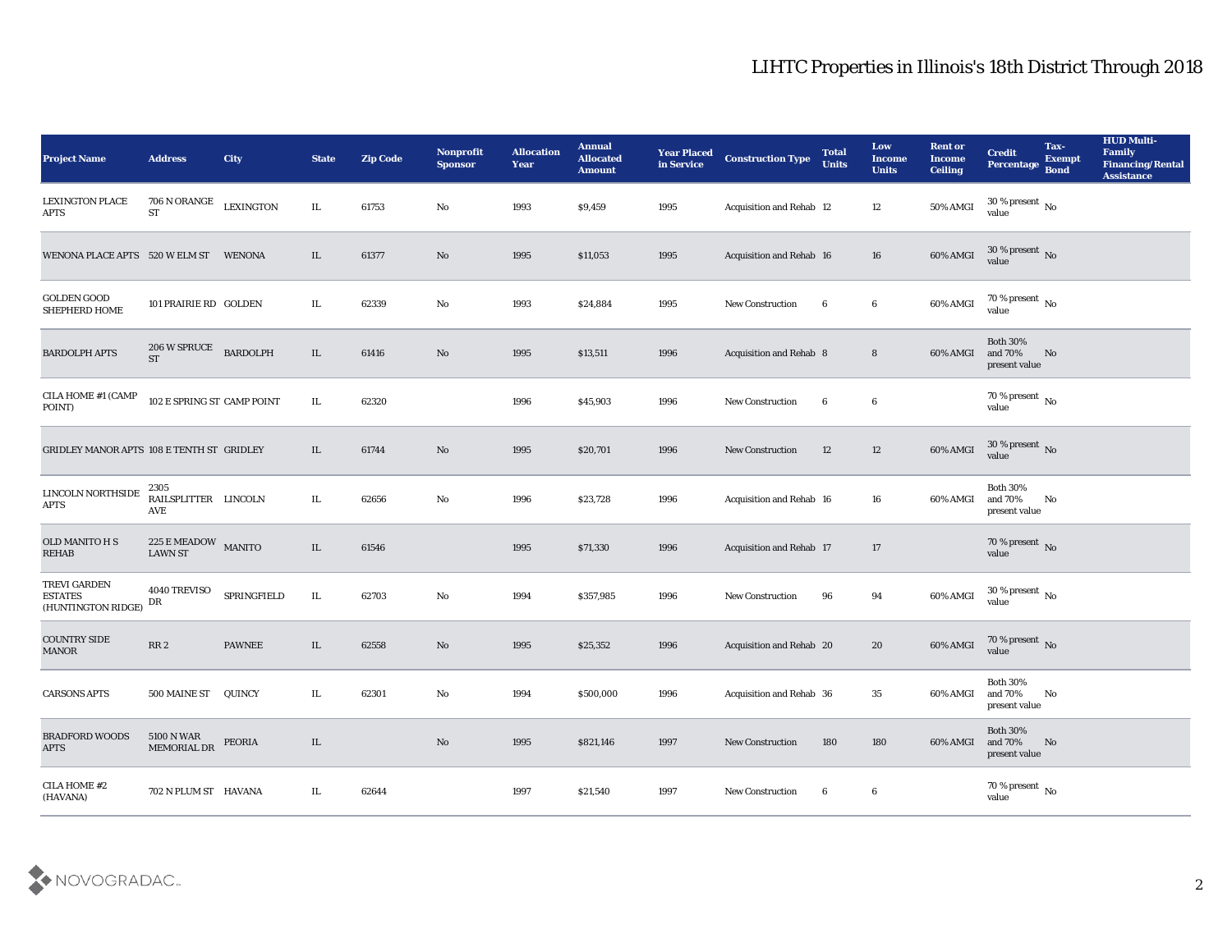| <b>Project Name</b>                                  | <b>Address</b>                                       | <b>City</b>      | <b>State</b> | <b>Zip Code</b> | Nonprofit<br><b>Sponsor</b> | <b>Allocation</b><br>Year | <b>Annual</b><br><b>Allocated</b><br><b>Amount</b> | <b>Year Placed</b><br>in Service | <b>Construction Type</b>        | <b>Total</b><br><b>Units</b> | Low<br><b>Income</b><br><b>Units</b> | <b>Rent or</b><br><b>Income</b><br><b>Ceiling</b> | <b>Credit</b><br>Percentage                       | Tax-<br><b>Exempt</b><br><b>Bond</b> | <b>HUD Multi-</b><br>Family<br><b>Financing/Rental</b><br><b>Assistance</b> |
|------------------------------------------------------|------------------------------------------------------|------------------|--------------|-----------------|-----------------------------|---------------------------|----------------------------------------------------|----------------------------------|---------------------------------|------------------------------|--------------------------------------|---------------------------------------------------|---------------------------------------------------|--------------------------------------|-----------------------------------------------------------------------------|
| <b>LEXINGTON PLACE</b><br>APTS                       | 706 N ORANGE<br><b>ST</b>                            | <b>LEXINGTON</b> | IL           | 61753           | No                          | 1993                      | \$9,459                                            | 1995                             | Acquisition and Rehab 12        |                              | 12                                   | 50% AMGI                                          | $30$ % present $\,$ No $\,$<br>value              |                                      |                                                                             |
| WENONA PLACE APTS 520 W ELM ST                       |                                                      | <b>WENONA</b>    | IL           | 61377           | No                          | 1995                      | \$11,053                                           | 1995                             | Acquisition and Rehab 16        |                              | 16                                   | 60% AMGI                                          | $30\,\%$ present $\,$ No value                    |                                      |                                                                             |
| <b>GOLDEN GOOD</b><br>SHEPHERD HOME                  | 101 PRAIRIE RD GOLDEN                                |                  | IL           | 62339           | No                          | 1993                      | \$24,884                                           | 1995                             | <b>New Construction</b>         | 6                            | $6\phantom{.0}$                      | 60% AMGI                                          | $70\,\%$ present $\,$ No value                    |                                      |                                                                             |
| <b>BARDOLPH APTS</b>                                 | 206 W SPRUCE<br><b>ST</b>                            | <b>BARDOLPH</b>  | $\rm IL$     | 61416           | No                          | 1995                      | \$13,511                                           | 1996                             | <b>Acquisition and Rehab 8</b>  |                              | 8                                    | 60% AMGI                                          | <b>Both 30%</b><br>and $70\%$<br>present value    | No                                   |                                                                             |
| CILA HOME #1 (CAMP<br>POINT)                         | 102 E SPRING ST CAMP POINT                           |                  | $\rm IL$     | 62320           |                             | 1996                      | \$45,903                                           | 1996                             | <b>New Construction</b>         | 6                            | $6\phantom{.0}$                      |                                                   | 70 % present $\,$ No $\,$<br>value                |                                      |                                                                             |
| GRIDLEY MANOR APTS 108 E TENTH ST GRIDLEY            |                                                      |                  | IL           | 61744           | No                          | 1995                      | \$20,701                                           | 1996                             | <b>New Construction</b>         | 12                           | 12                                   | 60% AMGI                                          | $30\,\%$ present $\,$ No value                    |                                      |                                                                             |
| LINCOLN NORTHSIDE<br>APTS                            | 2305<br>RAILSPLITTER LINCOLN<br>AVE                  |                  | IL.          | 62656           | No                          | 1996                      | \$23,728                                           | 1996                             | <b>Acquisition and Rehab 16</b> |                              | 16                                   | 60% AMGI                                          | <b>Both 30%</b><br>and 70%<br>present value       | No                                   |                                                                             |
| OLD MANITO H S<br><b>REHAB</b>                       | $225\,\mathrm{E}\,\mathrm{MEADOW}$<br><b>LAWN ST</b> | <b>MANITO</b>    | IL           | 61546           |                             | 1995                      | \$71,330                                           | 1996                             | Acquisition and Rehab 17        |                              | 17                                   |                                                   | 70 % present $\sqrt{\ }$ No<br>value              |                                      |                                                                             |
| TREVI GARDEN<br><b>ESTATES</b><br>(HUNTINGTON RIDGE) | 4040 TREVISO<br>DR                                   | SPRINGFIELD      | $\rm IL$     | 62703           | No                          | 1994                      | \$357,985                                          | 1996                             | New Construction                | 96                           | 94                                   | 60% AMGI                                          | $30\,\%$ present $\,$ No value                    |                                      |                                                                             |
| <b>COUNTRY SIDE</b><br><b>MANOR</b>                  | RR 2                                                 | <b>PAWNEE</b>    | IL           | 62558           | No                          | 1995                      | \$25,352                                           | 1996                             | Acquisition and Rehab 20        |                              | 20                                   | 60% AMGI                                          | $70\,\%$ present $\,$ No value                    |                                      |                                                                             |
| <b>CARSONS APTS</b>                                  | 500 MAINE ST QUINCY                                  |                  | IL           | 62301           | No                          | 1994                      | \$500,000                                          | 1996                             | Acquisition and Rehab 36        |                              | 35                                   | 60% AMGI and 70%                                  | <b>Both 30%</b><br>present value                  | No                                   |                                                                             |
| <b>BRADFORD WOODS</b><br><b>APTS</b>                 | 5100 N WAR<br>MEMORIAL DR                            | PEORIA           | IL           |                 | $\rm \bf No$                | 1995                      | \$821,146                                          | 1997                             | <b>New Construction</b>         | 180                          | 180                                  | 60% AMGI                                          | <b>Both 30%</b><br>and $70\%$ No<br>present value |                                      |                                                                             |
| CILA HOME #2<br>(HAVANA)                             | 702 N PLUM ST HAVANA                                 |                  | IL           | 62644           |                             | 1997                      | \$21,540                                           | 1997                             | New Construction                | 6                            | $6\phantom{.0}$                      |                                                   | $70\,\%$ present $\,$ No value                    |                                      |                                                                             |

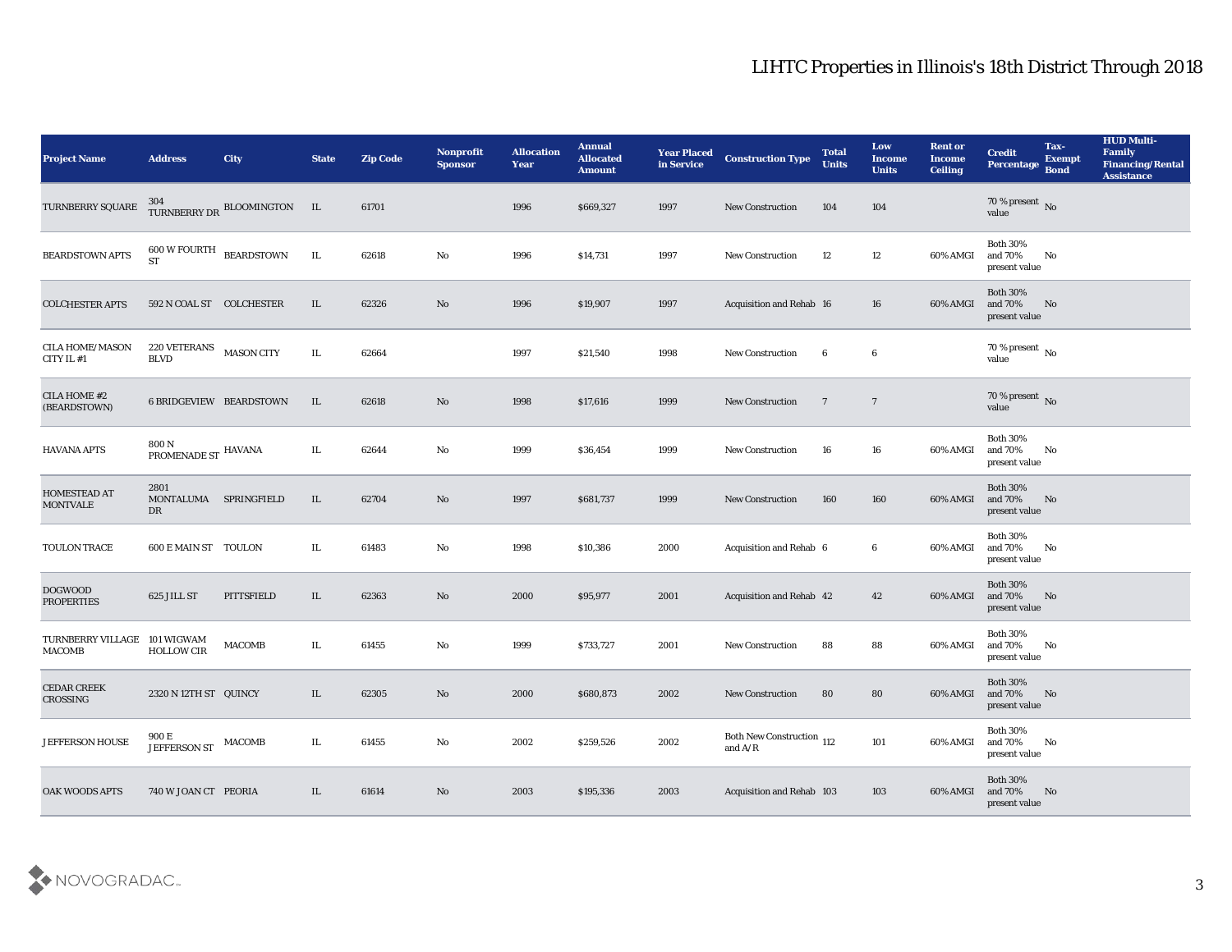| <b>Project Name</b>                  | <b>Address</b>                                                        | City                        | <b>State</b> | <b>Zip Code</b> | Nonprofit<br><b>Sponsor</b> | <b>Allocation</b><br><b>Year</b> | <b>Annual</b><br><b>Allocated</b><br><b>Amount</b> | <b>Year Placed</b><br>in Service | <b>Construction Type</b>               | <b>Total</b><br><b>Units</b> | Low<br><b>Income</b><br><b>Units</b> | <b>Rent or</b><br><b>Income</b><br><b>Ceiling</b> | <b>Credit</b><br>Percentage                 | Tax-<br><b>Exempt</b><br><b>Bond</b> | <b>HUD Multi-</b><br><b>Family</b><br><b>Financing/Rental</b><br><b>Assistance</b> |
|--------------------------------------|-----------------------------------------------------------------------|-----------------------------|--------------|-----------------|-----------------------------|----------------------------------|----------------------------------------------------|----------------------------------|----------------------------------------|------------------------------|--------------------------------------|---------------------------------------------------|---------------------------------------------|--------------------------------------|------------------------------------------------------------------------------------|
| TURNBERRY SQUARE                     |                                                                       | TURNBERRY DR BLOOMINGTON IL |              | 61701           |                             | 1996                             | \$669,327                                          | 1997                             | <b>New Construction</b>                | 104                          | 104                                  |                                                   | $70$ % present $\,$ No $\,$ value           |                                      |                                                                                    |
| <b>BEARDSTOWN APTS</b>               | $600\,\mathrm{W}\,\mathrm{FOURTH}\quad\text{BEARDSTOWN}$<br><b>ST</b> |                             | IL           | 62618           | No                          | 1996                             | \$14,731                                           | 1997                             | <b>New Construction</b>                | 12                           | 12                                   | 60% AMGI                                          | <b>Both 30%</b><br>and 70%<br>present value | No                                   |                                                                                    |
| <b>COLCHESTER APTS</b>               | 592 N COAL ST COLCHESTER                                              |                             | IL           | 62326           | No                          | 1996                             | \$19,907                                           | 1997                             | Acquisition and Rehab 16               |                              | 16                                   | 60% AMGI                                          | <b>Both 30%</b><br>and 70%<br>present value | No                                   |                                                                                    |
| <b>CILA HOME/MASON</b><br>CITY IL #1 | 220 VETERANS<br><b>BLVD</b>                                           | <b>MASON CITY</b>           | IL           | 62664           |                             | 1997                             | \$21,540                                           | 1998                             | New Construction                       | $6\phantom{.0}$              | $6\phantom{.0}$                      |                                                   | $70\,\%$ present $\,$ No value              |                                      |                                                                                    |
| CILA HOME #2<br>(BEARDSTOWN)         | 6 BRIDGEVIEW BEARDSTOWN                                               |                             | IL           | 62618           | No                          | 1998                             | \$17,616                                           | 1999                             | <b>New Construction</b>                | $\overline{7}$               | $\overline{7}$                       |                                                   | $70\,\%$ present $\,$ No value              |                                      |                                                                                    |
| <b>HAVANA APTS</b>                   | 800 N<br>PROMENADE ST HAVANA                                          |                             | IL           | 62644           | No                          | 1999                             | \$36,454                                           | 1999                             | <b>New Construction</b>                | 16                           | 16                                   | 60% AMGI                                          | <b>Both 30%</b><br>and 70%<br>present value | No                                   |                                                                                    |
| HOMESTEAD AT<br><b>MONTVALE</b>      | 2801<br>MONTALUMA SPRINGFIELD<br>DR                                   |                             | IL           | 62704           | No                          | 1997                             | \$681,737                                          | 1999                             | <b>New Construction</b>                | 160                          | 160                                  | 60% AMGI                                          | <b>Both 30%</b><br>and 70%<br>present value | No                                   |                                                                                    |
| TOULON TRACE                         | 600 E MAIN ST TOULON                                                  |                             | IL           | 61483           | No                          | 1998                             | \$10,386                                           | 2000                             | Acquisition and Rehab 6                |                              | 6                                    | 60% AMGI                                          | <b>Both 30%</b><br>and 70%<br>present value | No                                   |                                                                                    |
| <b>DOGWOOD</b><br><b>PROPERTIES</b>  | 625 JILL ST                                                           | PITTSFIELD                  | IL           | 62363           | No                          | 2000                             | \$95,977                                           | 2001                             | <b>Acquisition and Rehab 42</b>        |                              | 42                                   | 60% AMGI                                          | <b>Both 30%</b><br>and 70%<br>present value | No                                   |                                                                                    |
| TURNBERRY VILLAGE<br><b>MACOMB</b>   | 101 WIGWAM<br><b>HOLLOW CIR</b>                                       | <b>MACOMB</b>               | IL           | 61455           | No                          | 1999                             | \$733,727                                          | 2001                             | <b>New Construction</b>                | 88                           | 88                                   | 60% AMGI                                          | Both $30\%$<br>and 70%<br>present value     | No                                   |                                                                                    |
| <b>CEDAR CREEK</b><br>CROSSING       | 2320 N 12TH ST QUINCY                                                 |                             | IL           | 62305           | No                          | 2000                             | \$680,873                                          | 2002                             | <b>New Construction</b>                | 80                           | 80                                   | 60% AMGI                                          | <b>Both 30%</b><br>and 70%<br>present value | No                                   |                                                                                    |
| <b>JEFFERSON HOUSE</b>               | 900 E<br>JEFFERSON ST MACOMB                                          |                             | IL           | 61455           | No                          | 2002                             | \$259,526                                          | 2002                             | Both New Construction 112<br>and $A/R$ |                              | 101                                  | 60% AMGI                                          | <b>Both 30%</b><br>and 70%<br>present value | No                                   |                                                                                    |
| <b>OAK WOODS APTS</b>                | 740 W JOAN CT PEORIA                                                  |                             | IL           | 61614           | $\rm\, No$                  | 2003                             | \$195,336                                          | 2003                             | Acquisition and Rehab 103              |                              | 103                                  | 60% AMGI                                          | Both $30\%$<br>and $70\%$<br>present value  | N <sub>0</sub>                       |                                                                                    |

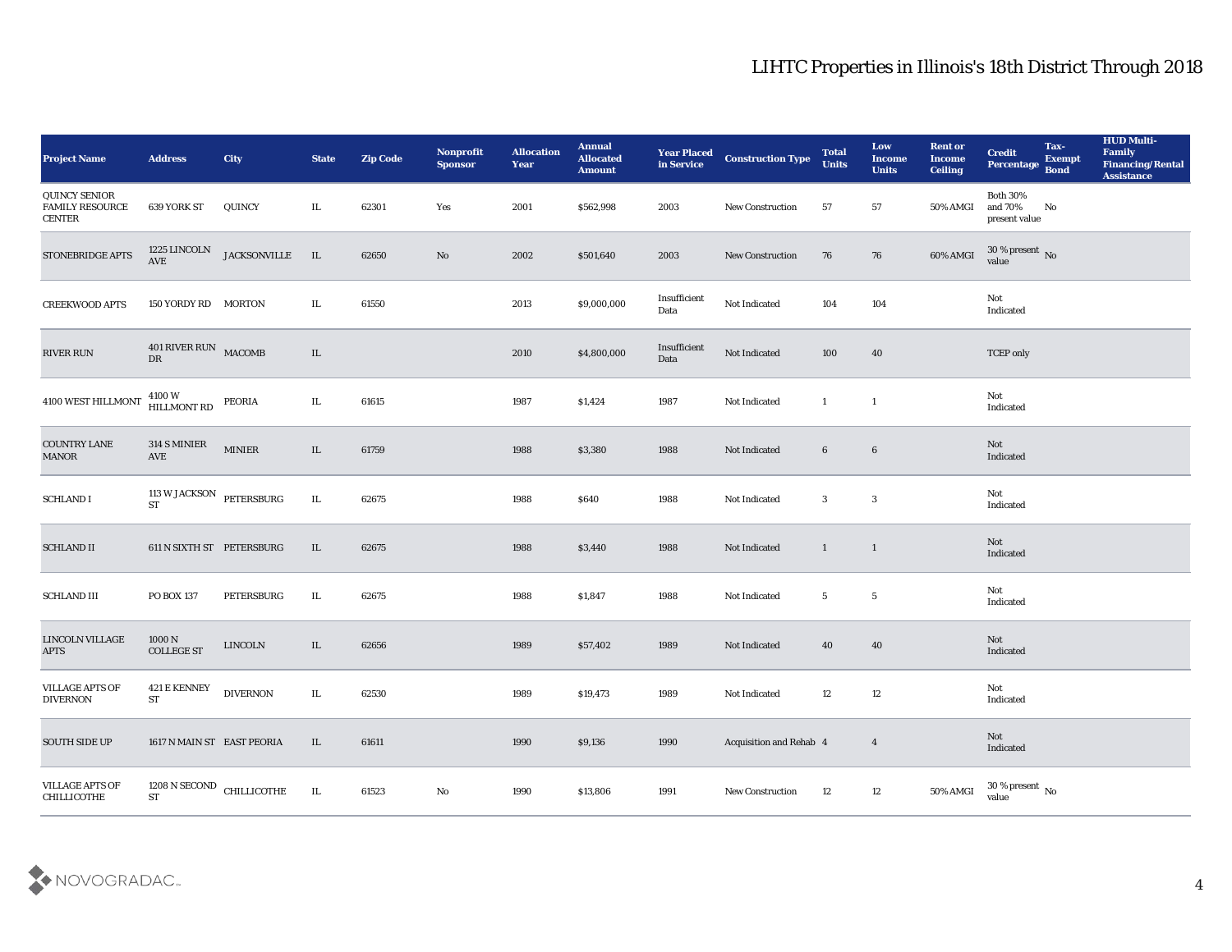| <b>Project Name</b>                                             | <b>Address</b>                                 | City                | <b>State</b> | <b>Zip Code</b> | Nonprofit<br><b>Sponsor</b> | <b>Allocation</b><br><b>Year</b> | <b>Annual</b><br><b>Allocated</b><br><b>Amount</b> | <b>Year Placed</b><br>in Service | <b>Construction Type</b> | <b>Total</b><br><b>Units</b> | Low<br><b>Income</b><br><b>Units</b> | <b>Rent or</b><br><b>Income</b><br><b>Ceiling</b> | <b>Credit</b><br>Percentage Bond            | Tax-<br><b>Exempt</b> | <b>HUD Multi-</b><br>Family<br><b>Financing/Rental</b><br><b>Assistance</b> |
|-----------------------------------------------------------------|------------------------------------------------|---------------------|--------------|-----------------|-----------------------------|----------------------------------|----------------------------------------------------|----------------------------------|--------------------------|------------------------------|--------------------------------------|---------------------------------------------------|---------------------------------------------|-----------------------|-----------------------------------------------------------------------------|
| <b>QUINCY SENIOR</b><br><b>FAMILY RESOURCE</b><br><b>CENTER</b> | 639 YORK ST                                    | QUINCY              | IL           | 62301           | Yes                         | 2001                             | \$562,998                                          | 2003                             | New Construction         | 57                           | 57                                   | 50% AMGI                                          | <b>Both 30%</b><br>and 70%<br>present value | No                    |                                                                             |
| STONEBRIDGE APTS                                                | 1225 LINCOLN<br>AVE                            | <b>JACKSONVILLE</b> | $$\;$ IL     | 62650           | No                          | 2002                             | \$501,640                                          | 2003                             | <b>New Construction</b>  | 76                           | 76                                   | 60% AMGI                                          | $30\,\%$ present $\,$ No value              |                       |                                                                             |
| <b>CREEKWOOD APTS</b>                                           | 150 YORDY RD MORTON                            |                     | IL           | 61550           |                             | 2013                             | \$9,000,000                                        | Insufficient<br>Data             | Not Indicated            | 104                          | 104                                  |                                                   | Not<br>Indicated                            |                       |                                                                             |
| RIVER RUN                                                       | 401 RIVER RUN MACOMB<br>$\mathbf{D}\mathbf{R}$ |                     | IL           |                 |                             | 2010                             | \$4,800,000                                        | Insufficient<br>Data             | Not Indicated            | 100                          | 40                                   |                                                   | <b>TCEP</b> only                            |                       |                                                                             |
| 4100 WEST HILLMONT                                              | 4100 W<br>HILLMONT RD                          | PEORIA              | IL           | 61615           |                             | 1987                             | \$1,424                                            | 1987                             | Not Indicated            | $\mathbf{1}$                 | $\overline{1}$                       |                                                   | Not<br>Indicated                            |                       |                                                                             |
| COUNTRY LANE<br><b>MANOR</b>                                    | 314 S MINIER<br>AVE                            | <b>MINIER</b>       | IL           | 61759           |                             | 1988                             | \$3,380                                            | 1988                             | Not Indicated            | 6                            | $6\phantom{.}6$                      |                                                   | Not<br>Indicated                            |                       |                                                                             |
| <b>SCHLAND I</b>                                                | 113 W JACKSON PETERSBURG<br><b>ST</b>          |                     | IL           | 62675           |                             | 1988                             | \$640                                              | 1988                             | Not Indicated            | $\mathbf{3}$                 | $\mathbf{3}$                         |                                                   | Not<br>Indicated                            |                       |                                                                             |
| <b>SCHLAND II</b>                                               | 611 N SIXTH ST PETERSBURG                      |                     | IL           | 62675           |                             | 1988                             | \$3,440                                            | 1988                             | Not Indicated            | $\mathbf{1}$                 | $\mathbf{1}$                         |                                                   | Not<br>Indicated                            |                       |                                                                             |
| <b>SCHLAND III</b>                                              | <b>PO BOX 137</b>                              | PETERSBURG          | IL           | 62675           |                             | 1988                             | \$1,847                                            | 1988                             | Not Indicated            | $5\phantom{.0}$              | $\sqrt{5}$                           |                                                   | Not<br>Indicated                            |                       |                                                                             |
| <b>LINCOLN VILLAGE</b><br><b>APTS</b>                           | 1000 N<br><b>COLLEGE ST</b>                    | <b>LINCOLN</b>      | IL           | 62656           |                             | 1989                             | \$57,402                                           | 1989                             | Not Indicated            | 40                           | 40                                   |                                                   | Not<br>Indicated                            |                       |                                                                             |
| <b>VILLAGE APTS OF</b><br><b>DIVERNON</b>                       | 421 E KENNEY<br><b>ST</b>                      | <b>DIVERNON</b>     | IL           | 62530           |                             | 1989                             | \$19,473                                           | 1989                             | Not Indicated            | 12                           | 12                                   |                                                   | Not<br>Indicated                            |                       |                                                                             |
| <b>SOUTH SIDE UP</b>                                            | 1617 N MAIN ST EAST PEORIA                     |                     | IL           | 61611           |                             | 1990                             | \$9,136                                            | 1990                             | Acquisition and Rehab 4  |                              | $\overline{4}$                       |                                                   | Not<br>Indicated                            |                       |                                                                             |
| <b>VILLAGE APTS OF</b><br>CHILLICOTHE                           | $1208$ N SECOND $\,$ CHILLICOTHE<br>${\rm ST}$ |                     | IL           | 61523           | $\rm\, No$                  | 1990                             | \$13,806                                           | 1991                             | New Construction         | 12                           | 12                                   | 50% AMGI                                          | 30 % present $\,$ No $\,$<br>value          |                       |                                                                             |

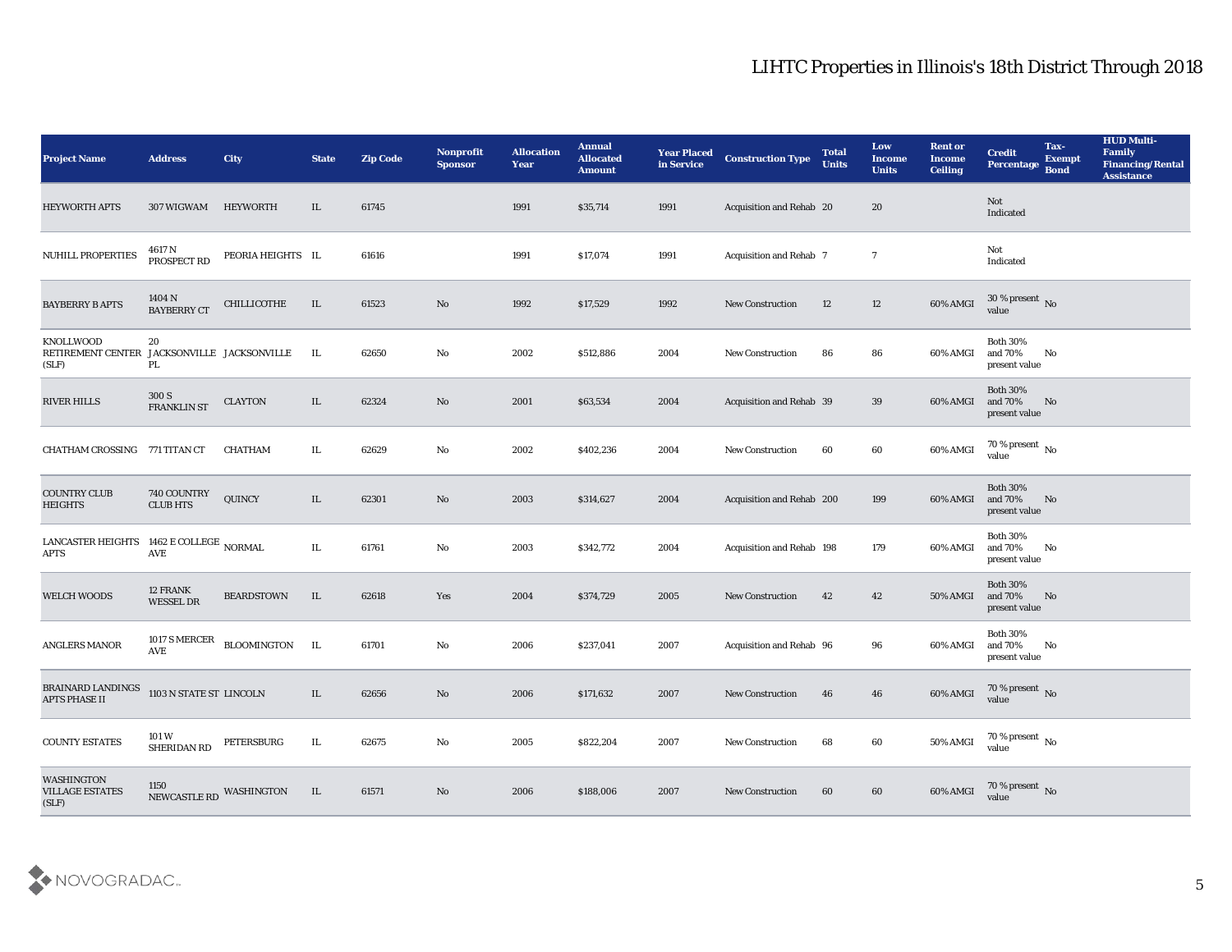| <b>Project Name</b>                                    | <b>Address</b>                  | <b>City</b>               | <b>State</b> | <b>Zip Code</b> | Nonprofit<br><b>Sponsor</b> | <b>Allocation</b><br>Year | <b>Annual</b><br><b>Allocated</b><br><b>Amount</b> | <b>Year Placed</b><br>in Service | <b>Construction Type</b>         | <b>Total</b><br><b>Units</b> | Low<br><b>Income</b><br><b>Units</b> | <b>Rent or</b><br><b>Income</b><br><b>Ceiling</b> | <b>Credit</b><br><b>Percentage</b>             | Tax-<br><b>Exempt</b><br><b>Bond</b> | <b>HUD Multi-</b><br>Family<br><b>Financing/Rental</b><br><b>Assistance</b> |
|--------------------------------------------------------|---------------------------------|---------------------------|--------------|-----------------|-----------------------------|---------------------------|----------------------------------------------------|----------------------------------|----------------------------------|------------------------------|--------------------------------------|---------------------------------------------------|------------------------------------------------|--------------------------------------|-----------------------------------------------------------------------------|
| <b>HEYWORTH APTS</b>                                   | 307 WIGWAM                      | HEYWORTH                  | IL           | 61745           |                             | 1991                      | \$35,714                                           | 1991                             | Acquisition and Rehab 20         |                              | 20                                   |                                                   | Not<br>Indicated                               |                                      |                                                                             |
| NUHILL PROPERTIES                                      | 4617 N<br>PROSPECT RD           | PEORIA HEIGHTS IL         |              | 61616           |                             | 1991                      | \$17,074                                           | 1991                             | <b>Acquisition and Rehab 7</b>   |                              | $\overline{7}$                       |                                                   | Not<br>Indicated                               |                                      |                                                                             |
| <b>BAYBERRY B APTS</b>                                 | 1404 N<br><b>BAYBERRY CT</b>    | CHILLICOTHE               | IL           | 61523           | No                          | 1992                      | \$17,529                                           | 1992                             | <b>New Construction</b>          | 12                           | 12                                   | 60% AMGI                                          | $30\%$ present No<br>value                     |                                      |                                                                             |
| KNOLLWOOD<br>RETIREMENT CENTER<br>(SLF)                | 20<br>PL                        | JACKSONVILLE JACKSONVILLE | IL.          | 62650           | No                          | 2002                      | \$512,886                                          | 2004                             | <b>New Construction</b>          | 86                           | 86                                   | 60% AMGI                                          | <b>Both 30%</b><br>and $70\%$<br>present value | No                                   |                                                                             |
| <b>RIVER HILLS</b>                                     | 300 S<br><b>FRANKLIN ST</b>     | <b>CLAYTON</b>            | IL           | 62324           | No                          | 2001                      | \$63,534                                           | 2004                             | <b>Acquisition and Rehab 39</b>  |                              | 39                                   | 60% AMGI                                          | <b>Both 30%</b><br>and 70%<br>present value    | No                                   |                                                                             |
| CHATHAM CROSSING 771 TITAN CT                          |                                 | CHATHAM                   | IL           | 62629           | No                          | 2002                      | \$402,236                                          | 2004                             | <b>New Construction</b>          | 60                           | 60                                   | 60% AMGI                                          | 70 % present $\,$ No $\,$<br>value             |                                      |                                                                             |
| <b>COUNTRY CLUB</b><br><b>HEIGHTS</b>                  | 740 COUNTRY<br><b>CLUB HTS</b>  | QUINCY                    | IL           | 62301           | No                          | 2003                      | \$314,627                                          | 2004                             | Acquisition and Rehab 200        |                              | 199                                  | 60% AMGI                                          | <b>Both 30%</b><br>and 70%<br>present value    | No                                   |                                                                             |
| LANCASTER HEIGHTS 1462 E COLLEGE NORMAL<br><b>APTS</b> | $\operatorname{AVE}$            |                           | IL.          | 61761           | No                          | 2003                      | \$342,772                                          | 2004                             | <b>Acquisition and Rehab 198</b> |                              | 179                                  | 60% AMGI                                          | <b>Both 30%</b><br>and 70%<br>present value    | No                                   |                                                                             |
| <b>WELCH WOODS</b>                                     | 12 FRANK<br><b>WESSEL DR</b>    | <b>BEARDSTOWN</b>         | IL           | 62618           | Yes                         | 2004                      | \$374,729                                          | 2005                             | <b>New Construction</b>          | 42                           | 42                                   | <b>50% AMGI</b>                                   | <b>Both 30%</b><br>and 70%<br>present value    | No                                   |                                                                             |
| ANGLERS MANOR                                          | 1017 S MERCER<br>AVE            | BLOOMINGTON IL            |              | 61701           | No                          | 2006                      | \$237,041                                          | 2007                             | Acquisition and Rehab 96         |                              | 96                                   | 60% AMGI                                          | <b>Both 30%</b><br>and 70%<br>present value    | No                                   |                                                                             |
| <b>BRAINARD LANDINGS</b><br><b>APTS PHASE II</b>       | 1103 N STATE ST LINCOLN         |                           | IL           | 62656           | No                          | 2006                      | \$171,632                                          | 2007                             | <b>New Construction</b>          | 46                           | 46                                   | 60% AMGI                                          | 70 % present No<br>value                       |                                      |                                                                             |
| <b>COUNTY ESTATES</b>                                  | 101 W<br>SHERIDAN RD            | PETERSBURG                | $\rm IL$     | 62675           | $\rm\, No$                  | 2005                      | \$822,204                                          | 2007                             | <b>New Construction</b>          | 68                           | $60\,$                               | 50% AMGI                                          | $70\,\%$ present $\,$ No value                 |                                      |                                                                             |
| <b>WASHINGTON</b><br><b>VILLAGE ESTATES</b><br>(SLF)   | 1150<br>NEWCASTLE RD WASHINGTON |                           | IL           | 61571           | No                          | 2006                      | \$188,006                                          | 2007                             | New Construction                 | 60                           | 60                                   | 60% AMGI                                          | $70\,\%$ present $\,$ No value                 |                                      |                                                                             |

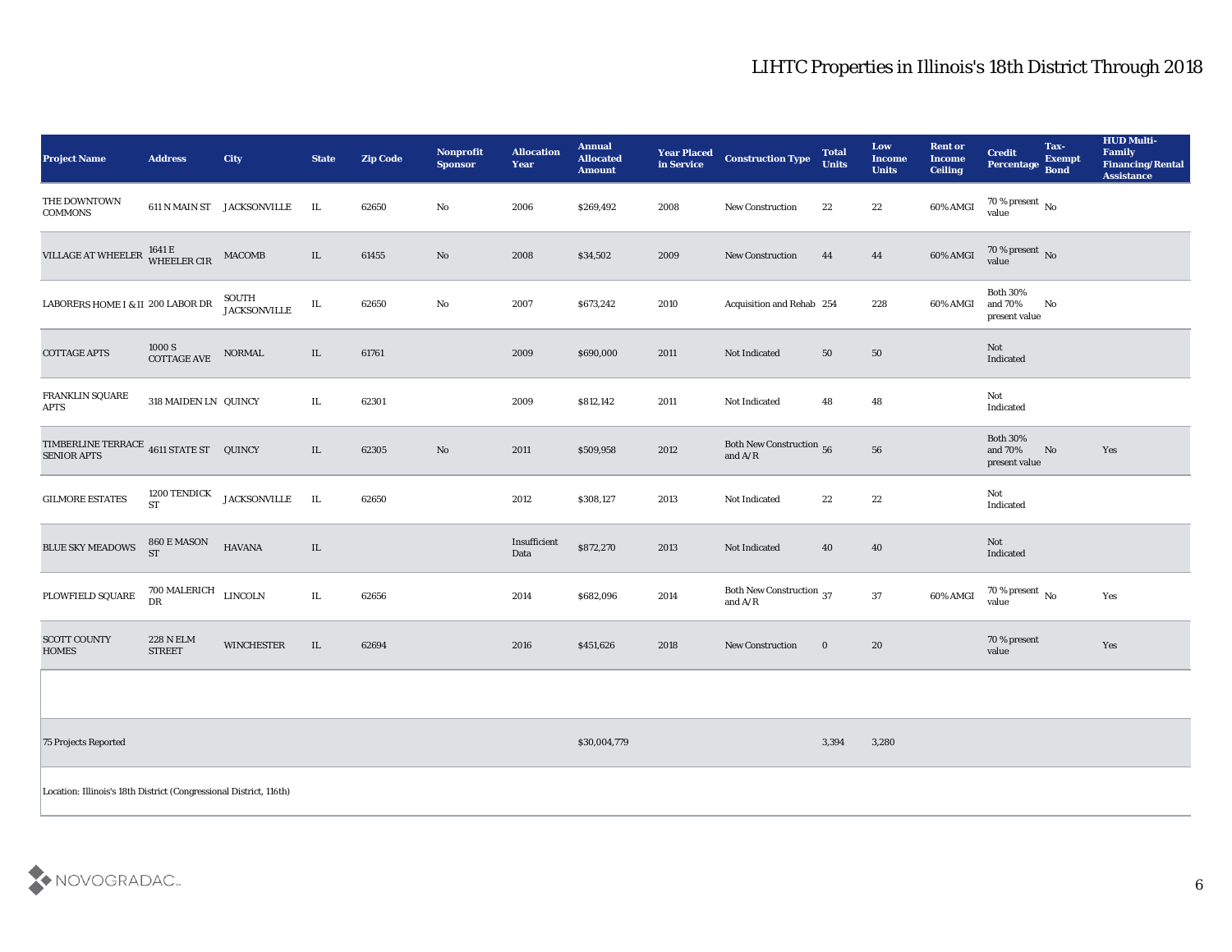| <b>Project Name</b>                                                | <b>Address</b>                    | City                       | <b>State</b> | <b>Zip Code</b> | Nonprofit<br><b>Sponsor</b> | <b>Allocation</b><br><b>Year</b> | <b>Annual</b><br><b>Allocated</b><br><b>Amount</b> | <b>Year Placed<br/>in Service</b> | <b>Construction Type</b>                                                                        | <b>Total</b><br><b>Units</b> | Low<br><b>Income</b><br><b>Units</b> | <b>Rent or</b><br><b>Income</b><br><b>Ceiling</b> | <b>Credit</b><br>Percentage Bond            | Tax-<br><b>Exempt</b> | <b>HUD Multi-</b><br>Family<br><b>Financing/Rental</b><br><b>Assistance</b> |
|--------------------------------------------------------------------|-----------------------------------|----------------------------|--------------|-----------------|-----------------------------|----------------------------------|----------------------------------------------------|-----------------------------------|-------------------------------------------------------------------------------------------------|------------------------------|--------------------------------------|---------------------------------------------------|---------------------------------------------|-----------------------|-----------------------------------------------------------------------------|
| THE DOWNTOWN<br><b>COMMONS</b>                                     |                                   | 611 N MAIN ST JACKSONVILLE | IL           | 62650           | No                          | 2006                             | \$269,492                                          | 2008                              | New Construction                                                                                | 22                           | 22                                   | 60% AMGI                                          | $\frac{70\%}{value}$ No                     |                       |                                                                             |
| VILLAGE AT WHEELER                                                 | 1641 E<br>WHEELER CIR             | <b>MACOMB</b>              | IL           | 61455           | No                          | 2008                             | \$34,502                                           | 2009                              | <b>New Construction</b>                                                                         | 44                           | 44                                   | 60% AMGI                                          | $70$ % present $\,$ No $\,$ value           |                       |                                                                             |
| LABORERS HOME I & II 200 LABOR DR                                  |                                   | SOUTH<br>JACKSONVILLE      | IL           | 62650           | No                          | 2007                             | \$673,242                                          | 2010                              | Acquisition and Rehab 254                                                                       |                              | 228                                  | 60% AMGI                                          | <b>Both 30%</b><br>and 70%<br>present value | No                    |                                                                             |
| <b>COTTAGE APTS</b>                                                | $1000~\mathrm{S}$ COTTAGE AVE     | NORMAL                     | IL           | 61761           |                             | 2009                             | \$690,000                                          | 2011                              | Not Indicated                                                                                   | 50                           | 50                                   |                                                   | Not<br>Indicated                            |                       |                                                                             |
| FRANKLIN SQUARE<br><b>APTS</b>                                     | 318 MAIDEN LN QUINCY              |                            | IL           | 62301           |                             | 2009                             | \$812,142                                          | 2011                              | Not Indicated                                                                                   | 48                           | 48                                   |                                                   | Not<br>Indicated                            |                       |                                                                             |
| TIMBERLINE TERRACE 4611 STATE ST QUINCY<br><b>SENIOR APTS</b>      |                                   |                            | IL           | 62305           | $\mathbf{N}\mathbf{o}$      | 2011                             | \$509,958                                          | 2012                              | Both New Construction 56<br>and $\ensuremath{\mathrm{A}}\xspace/\ensuremath{\mathrm{R}}\xspace$ |                              | ${\bf 56}$                           |                                                   | <b>Both 30%</b><br>and 70%<br>present value | No                    | Yes                                                                         |
| <b>GILMORE ESTATES</b>                                             | 1200 TENDICK<br><b>ST</b>         | <b>JACKSONVILLE</b>        | $\;$ IL      | 62650           |                             | 2012                             | \$308,127                                          | 2013                              | Not Indicated                                                                                   | 22                           | 22                                   |                                                   | Not<br>Indicated                            |                       |                                                                             |
| <b>BLUE SKY MEADOWS</b>                                            | 860 E MASON<br><b>ST</b>          | <b>HAVANA</b>              | $\;$ IL      |                 |                             | Insufficient<br>Data             | \$872,270                                          | 2013                              | Not Indicated                                                                                   | 40                           | 40                                   |                                                   | Not<br>Indicated                            |                       |                                                                             |
| PLOWFIELD SQUARE                                                   | 700 MALERICH<br>DR                | <b>LINCOLN</b>             | $\rm IL$     | 62656           |                             | 2014                             | \$682,096                                          | 2014                              | Both New Construction 37<br>and $\ensuremath{\mathrm{A}}\xspace/\ensuremath{\mathrm{R}}\xspace$ |                              | 37                                   | $60\%$ AMGI                                       | $70\,\%$ present $\,$ No value              |                       | Yes                                                                         |
| <b>SCOTT COUNTY</b><br><b>HOMES</b>                                | <b>228 N ELM</b><br><b>STREET</b> | <b>WINCHESTER</b>          | $\;$ IL      | 62694           |                             | 2016                             | \$451,626                                          | 2018                              | <b>New Construction</b>                                                                         | $\bf{0}$                     | $20\,$                               |                                                   | 70 % present<br>value                       |                       | Yes                                                                         |
|                                                                    |                                   |                            |              |                 |                             |                                  |                                                    |                                   |                                                                                                 |                              |                                      |                                                   |                                             |                       |                                                                             |
| 75 Projects Reported                                               |                                   |                            |              |                 |                             |                                  | \$30,004,779                                       |                                   |                                                                                                 | 3,394                        | 3,280                                |                                                   |                                             |                       |                                                                             |
| Location: Illinois's 18th District (Congressional District, 116th) |                                   |                            |              |                 |                             |                                  |                                                    |                                   |                                                                                                 |                              |                                      |                                                   |                                             |                       |                                                                             |